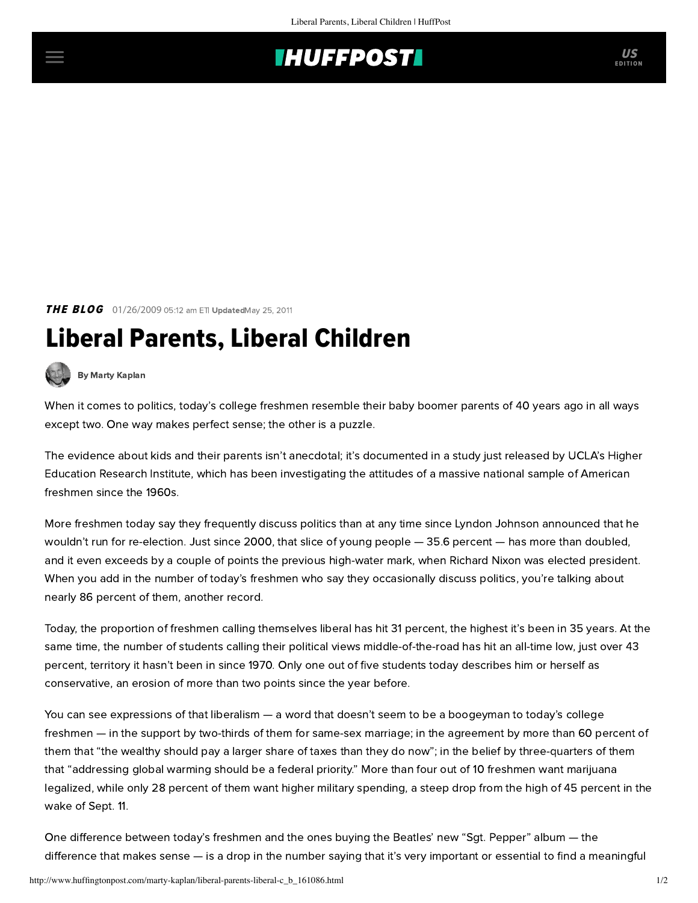## **INUFFPOSTI** US

**THE BLOG** 01/26/2009 05:12 am ETI UpdatedMay 25, 2011

## Liberal Parents, Liberal Children



[By Marty Kaplan](http://www.huffingtonpost.com/author/marty-kaplan)

When it comes to politics, today's college freshmen resemble their baby boomer parents of 40 years ago in all ways except two. One way makes perfect sense; the other is a puzzle.

The evidence about kids and their parents isn't anecdotal; it's documented in [a study just released](http://www.gseis.ucla.edu/heri/) by UCLA's Higher Education Research Institute, which has been investigating the attitudes of a massive national sample of American freshmen since the 1960s.

More freshmen today say they frequently discuss politics than at any time since Lyndon Johnson announced that he wouldn't run for re-election. Just since 2000, that slice of young people — 35.6 percent — has more than doubled, and it even exceeds by a couple of points the previous high-water mark, when Richard Nixon was elected president. When you add in the number of today's freshmen who say they occasionally discuss politics, you're talking about nearly 86 percent of them, another record.

Today, the proportion of freshmen calling themselves liberal has hit 31 percent, the highest it's been in 35 years. At the same time, the number of students calling their political views middle-of-the-road has hit an all-time low, just over 43 percent, territory it hasn't been in since 1970. Only one out of five students today describes him or herself as conservative, an erosion of more than two points since the year before.

You can see expressions of that liberalism — a word that doesn't seem to be a boogeyman to today's college freshmen — in the support by two-thirds of them for same-sex marriage; in the agreement by more than 60 percent of them that "the wealthy should pay a larger share of taxes than they do now"; in the belief by three-quarters of them that "addressing global warming should be a federal priority." More than four out of 10 freshmen want marijuana legalized, while only 28 percent of them want higher military spending, a steep drop from the high of 45 percent in the wake of Sept. 11.

One difference between today's freshmen and the ones buying the Beatles' new "Sgt. Pepper" album — the difference that makes sense — is a drop in the number saying that it's very important or essential to find a meaningful